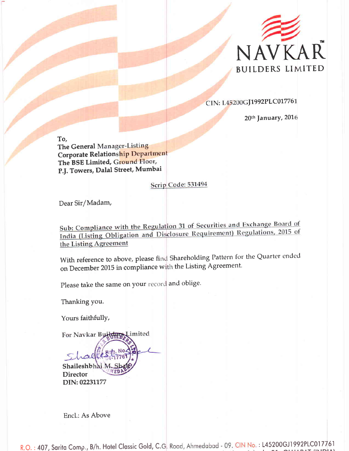

CIN: L45200GJ1992PLC017761

20<sup>th</sup> January, 2016

To, The General Manager-Listing Corporate Relationship Department The BSE Limited, Ground Floor, P.|. Towers, Dalal Street, Mumbai

## Scrip Code: 531494

Dear Sir/Madam,

Sub: Compliance with the Regulation 31 of Securities and Exchange Board of India (Listing Obligation and Disclosure Requirement) Regulations, 2015 of the Listing Agreement

With reference to above, please find Shareholding Pattern for the Quarter ended on December 2015 in compliance with the Listing Agreement.

Please take the same on your record and oblige

Thanking you.

Yours faithfully,

For Navkar Builders Limited  $colk$ Shaileshbhai M

**Director** DIN: 02231177

Encl.: As Above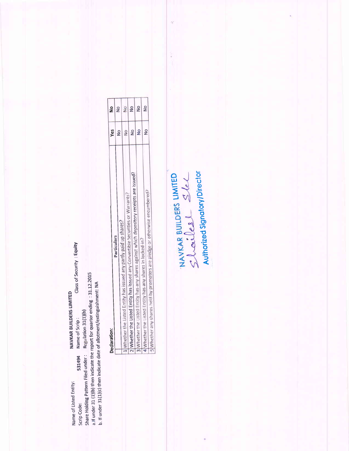Class of Security : Equity a. If under 31 (1)(b) then indicate the report for quarter ending: 31.12.2015 b. If under 31(1)(c) then indicate date of allotment/extinguishment: NA NAVKAR BUILDERS LIMITED Regulation 31(1)(b) Name of Scrip: Share Holding Pattern Filed under: 531494 Name of Listed Entity: Scrip Code:

| Declaration:                                                                                                                                                              | Yes           | $\frac{1}{2}$ |
|---------------------------------------------------------------------------------------------------------------------------------------------------------------------------|---------------|---------------|
| <b>Particulars</b>                                                                                                                                                        | $\frac{8}{2}$ | ž             |
|                                                                                                                                                                           |               |               |
| Whether the Listed Entity has issued any partly paid up shares?                                                                                                           | $\frac{1}{2}$ | $\frac{8}{2}$ |
|                                                                                                                                                                           |               |               |
| vhether the Listed Entity has any shares against which depository receipts are issued?<br>'2 Whether the Listed Entity has issued any Convertible Securities or Warrants? | $\frac{8}{1}$ | g             |
|                                                                                                                                                                           |               | $\frac{1}{2}$ |
|                                                                                                                                                                           | $\frac{1}{2}$ |               |
| * (Whether the Listed Entity has any shares in locked-in?                                                                                                                 |               | $\frac{1}{2}$ |
|                                                                                                                                                                           | ş             |               |
| 5 Whether any shares held by promoters are pledge or otherwise encumbered?                                                                                                |               |               |

NAVKAR BUILDERS LIMITED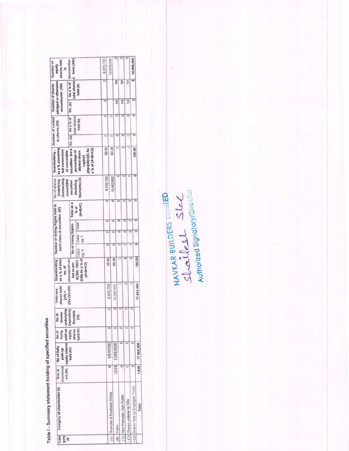Table I - Summary statement holding of specified securities

| shares held<br>Number of<br>equity<br>£.                              | total shares   d form (XIV)<br>dematerilize                                             |                                                                                          | 6,970,700                |                          | 10,018,200                |                         |                              |               |                            | 16,988,900                          |                      |
|-----------------------------------------------------------------------|-----------------------------------------------------------------------------------------|------------------------------------------------------------------------------------------|--------------------------|--------------------------|---------------------------|-------------------------|------------------------------|---------------|----------------------------|-------------------------------------|----------------------|
|                                                                       | As a % of                                                                               | held (b)                                                                                 |                          |                          |                           | $\overline{\mathbf{z}}$ | ₹                            | $\frac{4}{2}$ |                            |                                     |                      |
| pledged or otherwise<br>encumbared (XIII)<br>Number of shares         | No. (a)                                                                                 |                                                                                          | $\overline{\phantom{a}}$ |                          |                           | $\overline{\mathbf{z}}$ | ℥                            |               | $\overline{\frac{4}{2}}$   |                                     |                      |
| Number of Locked<br>in shares (XII)                                   | total shares<br>No. (a) As a % of                                                       | held (b)                                                                                 |                          | $\overline{\phantom{a}}$ |                           | c                       |                              |               | $\circ$                    | $\overline{a}$                      |                      |
|                                                                       |                                                                                         |                                                                                          |                          | d                        |                           |                         |                              |               |                            | ۰                                   |                      |
| Shareholding,<br>as a % assuming<br>full conversion<br>of convertible | securities (as a                                                                        | $(XI) = (VII) + (X)$ As<br>a % of (A+B+C2)<br>percentage of<br>diluted share<br>capital) |                          | 39 94                    | 6006                      |                         |                              |               |                            | 100.00                              |                      |
| No of shares<br>Outstanding<br>Underlying<br>convertible              | securities                                                                              | Warrants) (X)<br>(Hecluding                                                              |                          | 6970700                  | 10482,600                 |                         |                              |               |                            |                                     |                      |
|                                                                       | Total as a                                                                              | $(A+BF-C)$<br>% of                                                                       |                          |                          |                           |                         |                              |               |                            |                                     |                      |
|                                                                       |                                                                                         | Total                                                                                    |                          | $\overline{\circ}$       |                           |                         | $\overline{\circ}$           |               | $\overline{\circ}$         | c                                   |                      |
| Number of Voting Rights held in<br>each class of securities (IX)      | No of Voting Rights                                                                     | Class<br>A 6e<br>Class<br>leg: X                                                         |                          |                          |                           |                         |                              |               | O                          |                                     | ۰                    |
| Shareholding<br>as a % of total<br>no. of                             | shares(calcula<br>ted as per                                                            | Will) As a % of<br>SCRR, 1957)                                                           |                          | 39 94                    |                           | 6006                    |                              |               |                            |                                     | 100.00               |
| shares held<br>Total nos.<br>$(NII)$ =                                | $(W)+(V)+(VI)$                                                                          |                                                                                          |                          |                          | 6.970.700                 | 10,482,600              |                              |               |                            |                                     | 17,453,300           |
| shares<br>No of                                                       | <b>Receipts</b>                                                                         | Ê                                                                                        |                          |                          | ō                         | $\circ$                 | O                            | $\circ$       |                            |                                     |                      |
| Partly<br>No of                                                       | shares                                                                                  | held (V)                                                                                 |                          |                          |                           |                         |                              |               |                            |                                     |                      |
| No of fully<br>paid-up                                                | ers (III)   equity shares   paid-up   underlying  <br>  held (IV)   equity   Depository |                                                                                          |                          |                          | 6970700                   | 10482600                |                              |               |                            |                                     | $1.638$ $17.453.300$ |
| sharehold<br>Nos of                                                   |                                                                                         |                                                                                          |                          |                          | 4                         | 1634                    |                              |               |                            |                                     |                      |
| Category of shareholder (II)                                          |                                                                                         |                                                                                          |                          |                          | Promoter & Promoter Group | Public                  | (C) Non Promoter- Non Public |               | (C1) Shares underlying DRs | (C2) Shares held by Employee Trusts |                      |
| Cate<br><b>GoD</b>                                                    |                                                                                         |                                                                                          |                          |                          | (A)                       | $\overline{a}$          |                              |               |                            |                                     |                      |

NAVKAR BUILDERS LIMITED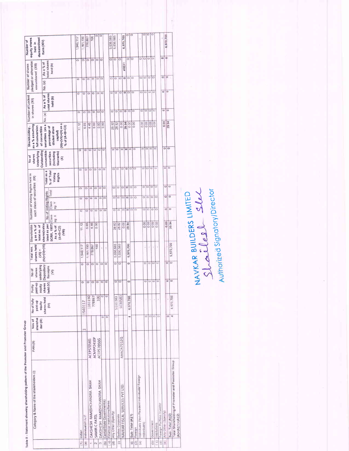| 5        |
|----------|
| $\vdots$ |
|          |
|          |
|          |
|          |
|          |
|          |
|          |
|          |
|          |
|          |
|          |
|          |
|          |
|          |
|          |

| 6,970,700<br>6,970,700<br>5,030,583<br>5,030,583<br>1,940,117<br>1,161,150<br>100<br>778,867<br>۰<br>$\phi$<br>$\circ$<br>$\circ$<br>O<br>O<br>$\circ$ $\circ$<br>$\circ$<br>$\circ$<br>۰<br>$\circ$<br>$\circ$<br>۰<br>$\circ$<br>ö<br>$\circ$<br>total shares<br>As a % of<br>#REF<br>held (b)<br>$\circ$ $\circ$<br>ļ0<br>$\circ$<br>$\circ$<br>a jo<br>$\circ$<br>$\circ$<br>O<br>o<br>$\circ$<br>$\circ$<br>$\circ$<br>$\circ$<br>C<br>$\circ$<br>O<br>No. (a)<br>$\circ$<br>Þ<br>$\circ$<br>$\circ$<br>G<br>O<br>$\circ$<br>$\circ$<br>۰<br>$\circ$<br>$\circ$<br>$\mathbb{C}$<br>$\circ$<br>õ<br>$\overline{C}$<br>$\circ$<br>ō<br>c<br>total shares<br>As a % of<br>held (b)<br>l O<br>۰<br>$\circ$<br>$\circ$<br>$\circ$<br>G<br>$\circ$<br>$\circ$<br>io<br>$\circ$<br>ö<br>۰<br>$\circ$<br>o<br>$\circ$<br>$\circ$<br>o<br>$\circ$<br>No. (a)<br>0.00<br>39.94<br>00.0<br>0.00<br>0.00<br>0.00<br>39.94<br><b>000</b><br>0.00<br>000<br>28.82<br>0.00<br>28 82<br>4.46<br>0.00<br>800<br>$(XI) = (VII) + (X)$ as a<br>11.12<br>6.65<br>securities (as a<br>% of $(A + B + C2)$<br>percentage of<br>diluted share<br>capital)<br>$\circ$<br>$\circ$<br>ö<br>۰<br>٥<br>Φ<br>$O$ $O$<br>$\circ$<br>$\circ$<br>$\overline{O}$<br>$\circ$<br>$\circ$<br>O<br>o<br>$\circ$<br>O<br>٥<br>Outstanding<br>convertible<br>securities<br>(Including<br>Warrants)<br>g<br>olo<br>¦0<br>$\Rightarrow$<br>$\frac{1}{2}$<br>$\overline{c}$<br>ø<br>۰<br>O<br>$\circ$<br>0<br>O<br>$\circ$<br>$\circ$<br>$\circ$<br>$\circ$<br>$\circ$<br>$\circ$<br>Total as a<br>% of Total<br>Voting<br>Rights<br>$\ddot{a}$<br>o,<br>$\circ$<br>ø<br>G<br>O<br>$\circ$<br>e<br>ی<br>o<br>$\circ$<br>m<br>$\circ$<br>ö<br>۰<br>o<br>ō<br>$\circ$<br>Total<br>No of Voting Rights<br>$\circ$<br>a<br>$\circ$<br>O O<br>$\circ$<br>$\circ$<br>ø<br>$\circ$<br>۰<br>$\circ$<br>o<br>$\Rightarrow$<br>$\circ$<br>ö<br>$\circ$<br>o<br>Ö<br>Class<br>en Y<br>Ŧ<br>۰<br>O <sub>o</sub><br>$\circ$<br>o<br>$\circ$<br>$\circ$<br>$\circ$<br>$\circ$<br>O.<br>O<br><b>IC</b><br>$\overline{C}$<br>$\circ$<br>O<br>o<br>$\circ$<br>$\Rightarrow$<br>Class<br>og X<br>0.00<br>0.00<br>88<br>0.00<br>0.00<br>F<br>26.82<br>0.00<br>28.82<br>4.46<br>0.00<br>11 12<br>685<br>SCRR, 1957)<br>shares(calcu<br>lated as per<br>As a % of<br>$\frac{9}{5}$<br>$(A + B + C2)$<br>(IIII)<br>$(N)+(V)+(V))$<br>5.030,583<br>5,030,583<br>6,970,700<br>1,161,150<br>100<br>1,940,117<br>778,867<br>ï<br>í4<br>ì.<br>ï<br>ł.<br>ł.<br>Þ<br>$\circ$<br>۵<br>c<br>۰<br>G<br>$\circ$<br>$\circ$<br>$\circ$<br>$\circ$<br>$\Box$<br>Ò<br>o<br>o<br>Depository<br>Receipts<br>ξ<br>$\circ$<br>$\circ$<br>₽<br>$\circ$<br>$\circ$<br>o<br>o<br>õ<br>ö<br>$\circ$<br>$\circ$<br>0<br>$\circ$<br>Ö<br>held (V)<br>shares<br>$\overline{\circ}$<br>100<br>$\circ$<br>5030583<br>1161150<br>778867<br>5030583<br>6,970,700<br>shares held<br>V<br>ä<br>ä<br>1940117<br>$\widehat{\epsilon}$<br>$\circ$<br>$\circ$<br>o<br>O<br>ö<br>ö<br>۳<br>ö<br>m<br>AAACN7212Q<br>ACMPP2410P<br>ACEPS7056G<br>ACEPS7056G<br>Individuals (Non-Resident Individuals/ Foreign<br>DAKSHESH RAMESHCHANDRA SHAH<br>DAKSHESH RAMESHCHANDRA SHAH<br>NAVKAR FISCAL SERVICES PVT LTD<br>Cental/State Government(s)<br>Financial Institutions/Banks<br>Foreign Portfolia investor<br>Any Other (Specify)<br>Bodies Corporate<br>Individuals/H.U.F<br>Sub-Total (A)(1)<br>SAMIR C PATEL<br>Government<br>ndividuals)<br>Institutions<br>Foreign<br>Indian | 39.94<br>6,970,700<br>$\circ$<br>o<br>6,970,700<br>ų<br>Total Shareholding of Promoter and Promoter Group<br>$(A)= (A)(1)+(A)(2)$<br>Sub-Total (A)(2)                   | Category & Name of the shareholders (1) | PAN <sub>(II)</sub> | sharehol<br>der <sub>(III)</sub><br>Nos of | No of fully<br>paid-up<br>equity | paid-up<br>equity<br>Partly | underlying<br>shares<br>No of | shares held<br>Total nos.<br>(100) | Shareholdin<br>gasa%of<br>total no. of |  | Number of Voting Rights held in<br>each class of securities (IX) | Underlying<br>shares<br>No of | as a % assuming<br>Shareholding,<br>full conversion<br>of convertible | Number of Locked<br>in shares (XII) | pledged or otherwise<br>Number of shares<br>encumbared (XIII) | equity shares<br>dematerilized<br>held in |
|----------------------------------------------------------------------------------------------------------------------------------------------------------------------------------------------------------------------------------------------------------------------------------------------------------------------------------------------------------------------------------------------------------------------------------------------------------------------------------------------------------------------------------------------------------------------------------------------------------------------------------------------------------------------------------------------------------------------------------------------------------------------------------------------------------------------------------------------------------------------------------------------------------------------------------------------------------------------------------------------------------------------------------------------------------------------------------------------------------------------------------------------------------------------------------------------------------------------------------------------------------------------------------------------------------------------------------------------------------------------------------------------------------------------------------------------------------------------------------------------------------------------------------------------------------------------------------------------------------------------------------------------------------------------------------------------------------------------------------------------------------------------------------------------------------------------------------------------------------------------------------------------------------------------------------------------------------------------------------------------------------------------------------------------------------------------------------------------------------------------------------------------------------------------------------------------------------------------------------------------------------------------------------------------------------------------------------------------------------------------------------------------------------------------------------------------------------------------------------------------------------------------------------------------------------------------------------------------------------------------------------------------------------------------------------------------------------------------------------------------------------------------------------------------------------------------------------------------------------------------------------------------------------------------------------------------------------------------------------------------------------------------------------------------------------------------------------------------------------------------------------------------------------------------------------------------------------------------------------------------------------------------------------------------------------------------------------------------------------------------------------------------------------------------------------------------------------------------------------|-------------------------------------------------------------------------------------------------------------------------------------------------------------------------|-----------------------------------------|---------------------|--------------------------------------------|----------------------------------|-----------------------------|-------------------------------|------------------------------------|----------------------------------------|--|------------------------------------------------------------------|-------------------------------|-----------------------------------------------------------------------|-------------------------------------|---------------------------------------------------------------|-------------------------------------------|
|                                                                                                                                                                                                                                                                                                                                                                                                                                                                                                                                                                                                                                                                                                                                                                                                                                                                                                                                                                                                                                                                                                                                                                                                                                                                                                                                                                                                                                                                                                                                                                                                                                                                                                                                                                                                                                                                                                                                                                                                                                                                                                                                                                                                                                                                                                                                                                                                                                                                                                                                                                                                                                                                                                                                                                                                                                                                                                                                                                                                                                                                                                                                                                                                                                                                                                                                                                                                                                                                                  | (e) Any Other (Specify)<br>(5)<br>C<br>a<br>Ê<br>$\hat{c}$<br>$\left( \overline{B}\right)$<br>O<br>$\widehat{e}$<br>E<br>(a)<br>F<br>$\left( 2\right)$<br>ė<br>cy.<br>m |                                         |                     |                                            |                                  |                             |                               |                                    |                                        |  |                                                                  |                               |                                                                       |                                     |                                                               | form (XIV)                                |
|                                                                                                                                                                                                                                                                                                                                                                                                                                                                                                                                                                                                                                                                                                                                                                                                                                                                                                                                                                                                                                                                                                                                                                                                                                                                                                                                                                                                                                                                                                                                                                                                                                                                                                                                                                                                                                                                                                                                                                                                                                                                                                                                                                                                                                                                                                                                                                                                                                                                                                                                                                                                                                                                                                                                                                                                                                                                                                                                                                                                                                                                                                                                                                                                                                                                                                                                                                                                                                                                                  |                                                                                                                                                                         |                                         |                     |                                            |                                  |                             |                               |                                    |                                        |  |                                                                  |                               |                                                                       |                                     |                                                               |                                           |
|                                                                                                                                                                                                                                                                                                                                                                                                                                                                                                                                                                                                                                                                                                                                                                                                                                                                                                                                                                                                                                                                                                                                                                                                                                                                                                                                                                                                                                                                                                                                                                                                                                                                                                                                                                                                                                                                                                                                                                                                                                                                                                                                                                                                                                                                                                                                                                                                                                                                                                                                                                                                                                                                                                                                                                                                                                                                                                                                                                                                                                                                                                                                                                                                                                                                                                                                                                                                                                                                                  |                                                                                                                                                                         |                                         |                     |                                            |                                  |                             |                               |                                    |                                        |  |                                                                  |                               |                                                                       |                                     |                                                               |                                           |
|                                                                                                                                                                                                                                                                                                                                                                                                                                                                                                                                                                                                                                                                                                                                                                                                                                                                                                                                                                                                                                                                                                                                                                                                                                                                                                                                                                                                                                                                                                                                                                                                                                                                                                                                                                                                                                                                                                                                                                                                                                                                                                                                                                                                                                                                                                                                                                                                                                                                                                                                                                                                                                                                                                                                                                                                                                                                                                                                                                                                                                                                                                                                                                                                                                                                                                                                                                                                                                                                                  |                                                                                                                                                                         |                                         |                     |                                            |                                  |                             |                               |                                    |                                        |  |                                                                  |                               |                                                                       |                                     |                                                               |                                           |
|                                                                                                                                                                                                                                                                                                                                                                                                                                                                                                                                                                                                                                                                                                                                                                                                                                                                                                                                                                                                                                                                                                                                                                                                                                                                                                                                                                                                                                                                                                                                                                                                                                                                                                                                                                                                                                                                                                                                                                                                                                                                                                                                                                                                                                                                                                                                                                                                                                                                                                                                                                                                                                                                                                                                                                                                                                                                                                                                                                                                                                                                                                                                                                                                                                                                                                                                                                                                                                                                                  |                                                                                                                                                                         |                                         |                     |                                            |                                  |                             |                               |                                    |                                        |  |                                                                  |                               |                                                                       |                                     |                                                               |                                           |
|                                                                                                                                                                                                                                                                                                                                                                                                                                                                                                                                                                                                                                                                                                                                                                                                                                                                                                                                                                                                                                                                                                                                                                                                                                                                                                                                                                                                                                                                                                                                                                                                                                                                                                                                                                                                                                                                                                                                                                                                                                                                                                                                                                                                                                                                                                                                                                                                                                                                                                                                                                                                                                                                                                                                                                                                                                                                                                                                                                                                                                                                                                                                                                                                                                                                                                                                                                                                                                                                                  |                                                                                                                                                                         |                                         |                     |                                            |                                  |                             |                               |                                    |                                        |  |                                                                  |                               |                                                                       |                                     |                                                               |                                           |
|                                                                                                                                                                                                                                                                                                                                                                                                                                                                                                                                                                                                                                                                                                                                                                                                                                                                                                                                                                                                                                                                                                                                                                                                                                                                                                                                                                                                                                                                                                                                                                                                                                                                                                                                                                                                                                                                                                                                                                                                                                                                                                                                                                                                                                                                                                                                                                                                                                                                                                                                                                                                                                                                                                                                                                                                                                                                                                                                                                                                                                                                                                                                                                                                                                                                                                                                                                                                                                                                                  |                                                                                                                                                                         |                                         |                     |                                            |                                  |                             |                               |                                    |                                        |  |                                                                  |                               |                                                                       |                                     |                                                               |                                           |
|                                                                                                                                                                                                                                                                                                                                                                                                                                                                                                                                                                                                                                                                                                                                                                                                                                                                                                                                                                                                                                                                                                                                                                                                                                                                                                                                                                                                                                                                                                                                                                                                                                                                                                                                                                                                                                                                                                                                                                                                                                                                                                                                                                                                                                                                                                                                                                                                                                                                                                                                                                                                                                                                                                                                                                                                                                                                                                                                                                                                                                                                                                                                                                                                                                                                                                                                                                                                                                                                                  |                                                                                                                                                                         |                                         |                     |                                            |                                  |                             |                               |                                    |                                        |  |                                                                  |                               |                                                                       |                                     |                                                               |                                           |
|                                                                                                                                                                                                                                                                                                                                                                                                                                                                                                                                                                                                                                                                                                                                                                                                                                                                                                                                                                                                                                                                                                                                                                                                                                                                                                                                                                                                                                                                                                                                                                                                                                                                                                                                                                                                                                                                                                                                                                                                                                                                                                                                                                                                                                                                                                                                                                                                                                                                                                                                                                                                                                                                                                                                                                                                                                                                                                                                                                                                                                                                                                                                                                                                                                                                                                                                                                                                                                                                                  |                                                                                                                                                                         |                                         |                     |                                            |                                  |                             |                               |                                    |                                        |  |                                                                  |                               |                                                                       |                                     |                                                               |                                           |
|                                                                                                                                                                                                                                                                                                                                                                                                                                                                                                                                                                                                                                                                                                                                                                                                                                                                                                                                                                                                                                                                                                                                                                                                                                                                                                                                                                                                                                                                                                                                                                                                                                                                                                                                                                                                                                                                                                                                                                                                                                                                                                                                                                                                                                                                                                                                                                                                                                                                                                                                                                                                                                                                                                                                                                                                                                                                                                                                                                                                                                                                                                                                                                                                                                                                                                                                                                                                                                                                                  |                                                                                                                                                                         |                                         |                     |                                            |                                  |                             |                               |                                    |                                        |  |                                                                  |                               |                                                                       |                                     |                                                               |                                           |
|                                                                                                                                                                                                                                                                                                                                                                                                                                                                                                                                                                                                                                                                                                                                                                                                                                                                                                                                                                                                                                                                                                                                                                                                                                                                                                                                                                                                                                                                                                                                                                                                                                                                                                                                                                                                                                                                                                                                                                                                                                                                                                                                                                                                                                                                                                                                                                                                                                                                                                                                                                                                                                                                                                                                                                                                                                                                                                                                                                                                                                                                                                                                                                                                                                                                                                                                                                                                                                                                                  |                                                                                                                                                                         |                                         |                     |                                            |                                  |                             |                               |                                    |                                        |  |                                                                  |                               |                                                                       |                                     |                                                               |                                           |
|                                                                                                                                                                                                                                                                                                                                                                                                                                                                                                                                                                                                                                                                                                                                                                                                                                                                                                                                                                                                                                                                                                                                                                                                                                                                                                                                                                                                                                                                                                                                                                                                                                                                                                                                                                                                                                                                                                                                                                                                                                                                                                                                                                                                                                                                                                                                                                                                                                                                                                                                                                                                                                                                                                                                                                                                                                                                                                                                                                                                                                                                                                                                                                                                                                                                                                                                                                                                                                                                                  |                                                                                                                                                                         |                                         |                     |                                            |                                  |                             |                               |                                    |                                        |  |                                                                  |                               |                                                                       |                                     |                                                               |                                           |
|                                                                                                                                                                                                                                                                                                                                                                                                                                                                                                                                                                                                                                                                                                                                                                                                                                                                                                                                                                                                                                                                                                                                                                                                                                                                                                                                                                                                                                                                                                                                                                                                                                                                                                                                                                                                                                                                                                                                                                                                                                                                                                                                                                                                                                                                                                                                                                                                                                                                                                                                                                                                                                                                                                                                                                                                                                                                                                                                                                                                                                                                                                                                                                                                                                                                                                                                                                                                                                                                                  |                                                                                                                                                                         |                                         |                     |                                            |                                  |                             |                               |                                    |                                        |  |                                                                  |                               |                                                                       |                                     |                                                               |                                           |
|                                                                                                                                                                                                                                                                                                                                                                                                                                                                                                                                                                                                                                                                                                                                                                                                                                                                                                                                                                                                                                                                                                                                                                                                                                                                                                                                                                                                                                                                                                                                                                                                                                                                                                                                                                                                                                                                                                                                                                                                                                                                                                                                                                                                                                                                                                                                                                                                                                                                                                                                                                                                                                                                                                                                                                                                                                                                                                                                                                                                                                                                                                                                                                                                                                                                                                                                                                                                                                                                                  |                                                                                                                                                                         |                                         |                     |                                            |                                  |                             |                               |                                    |                                        |  |                                                                  |                               |                                                                       |                                     |                                                               |                                           |
|                                                                                                                                                                                                                                                                                                                                                                                                                                                                                                                                                                                                                                                                                                                                                                                                                                                                                                                                                                                                                                                                                                                                                                                                                                                                                                                                                                                                                                                                                                                                                                                                                                                                                                                                                                                                                                                                                                                                                                                                                                                                                                                                                                                                                                                                                                                                                                                                                                                                                                                                                                                                                                                                                                                                                                                                                                                                                                                                                                                                                                                                                                                                                                                                                                                                                                                                                                                                                                                                                  |                                                                                                                                                                         |                                         |                     |                                            |                                  |                             |                               |                                    |                                        |  |                                                                  |                               |                                                                       |                                     |                                                               |                                           |
|                                                                                                                                                                                                                                                                                                                                                                                                                                                                                                                                                                                                                                                                                                                                                                                                                                                                                                                                                                                                                                                                                                                                                                                                                                                                                                                                                                                                                                                                                                                                                                                                                                                                                                                                                                                                                                                                                                                                                                                                                                                                                                                                                                                                                                                                                                                                                                                                                                                                                                                                                                                                                                                                                                                                                                                                                                                                                                                                                                                                                                                                                                                                                                                                                                                                                                                                                                                                                                                                                  |                                                                                                                                                                         |                                         |                     |                                            |                                  |                             |                               |                                    |                                        |  |                                                                  |                               |                                                                       |                                     |                                                               |                                           |
|                                                                                                                                                                                                                                                                                                                                                                                                                                                                                                                                                                                                                                                                                                                                                                                                                                                                                                                                                                                                                                                                                                                                                                                                                                                                                                                                                                                                                                                                                                                                                                                                                                                                                                                                                                                                                                                                                                                                                                                                                                                                                                                                                                                                                                                                                                                                                                                                                                                                                                                                                                                                                                                                                                                                                                                                                                                                                                                                                                                                                                                                                                                                                                                                                                                                                                                                                                                                                                                                                  |                                                                                                                                                                         |                                         |                     |                                            |                                  |                             |                               |                                    |                                        |  |                                                                  |                               |                                                                       |                                     |                                                               |                                           |
|                                                                                                                                                                                                                                                                                                                                                                                                                                                                                                                                                                                                                                                                                                                                                                                                                                                                                                                                                                                                                                                                                                                                                                                                                                                                                                                                                                                                                                                                                                                                                                                                                                                                                                                                                                                                                                                                                                                                                                                                                                                                                                                                                                                                                                                                                                                                                                                                                                                                                                                                                                                                                                                                                                                                                                                                                                                                                                                                                                                                                                                                                                                                                                                                                                                                                                                                                                                                                                                                                  |                                                                                                                                                                         |                                         |                     |                                            |                                  |                             |                               |                                    |                                        |  |                                                                  |                               |                                                                       |                                     |                                                               |                                           |
|                                                                                                                                                                                                                                                                                                                                                                                                                                                                                                                                                                                                                                                                                                                                                                                                                                                                                                                                                                                                                                                                                                                                                                                                                                                                                                                                                                                                                                                                                                                                                                                                                                                                                                                                                                                                                                                                                                                                                                                                                                                                                                                                                                                                                                                                                                                                                                                                                                                                                                                                                                                                                                                                                                                                                                                                                                                                                                                                                                                                                                                                                                                                                                                                                                                                                                                                                                                                                                                                                  |                                                                                                                                                                         |                                         |                     |                                            |                                  |                             |                               |                                    |                                        |  |                                                                  |                               |                                                                       |                                     |                                                               |                                           |
|                                                                                                                                                                                                                                                                                                                                                                                                                                                                                                                                                                                                                                                                                                                                                                                                                                                                                                                                                                                                                                                                                                                                                                                                                                                                                                                                                                                                                                                                                                                                                                                                                                                                                                                                                                                                                                                                                                                                                                                                                                                                                                                                                                                                                                                                                                                                                                                                                                                                                                                                                                                                                                                                                                                                                                                                                                                                                                                                                                                                                                                                                                                                                                                                                                                                                                                                                                                                                                                                                  |                                                                                                                                                                         |                                         |                     |                                            |                                  |                             |                               |                                    |                                        |  |                                                                  |                               |                                                                       |                                     |                                                               |                                           |
|                                                                                                                                                                                                                                                                                                                                                                                                                                                                                                                                                                                                                                                                                                                                                                                                                                                                                                                                                                                                                                                                                                                                                                                                                                                                                                                                                                                                                                                                                                                                                                                                                                                                                                                                                                                                                                                                                                                                                                                                                                                                                                                                                                                                                                                                                                                                                                                                                                                                                                                                                                                                                                                                                                                                                                                                                                                                                                                                                                                                                                                                                                                                                                                                                                                                                                                                                                                                                                                                                  |                                                                                                                                                                         |                                         |                     |                                            |                                  |                             |                               |                                    |                                        |  |                                                                  |                               |                                                                       |                                     |                                                               |                                           |
|                                                                                                                                                                                                                                                                                                                                                                                                                                                                                                                                                                                                                                                                                                                                                                                                                                                                                                                                                                                                                                                                                                                                                                                                                                                                                                                                                                                                                                                                                                                                                                                                                                                                                                                                                                                                                                                                                                                                                                                                                                                                                                                                                                                                                                                                                                                                                                                                                                                                                                                                                                                                                                                                                                                                                                                                                                                                                                                                                                                                                                                                                                                                                                                                                                                                                                                                                                                                                                                                                  |                                                                                                                                                                         |                                         |                     |                                            |                                  |                             |                               |                                    |                                        |  |                                                                  |                               |                                                                       |                                     |                                                               |                                           |
|                                                                                                                                                                                                                                                                                                                                                                                                                                                                                                                                                                                                                                                                                                                                                                                                                                                                                                                                                                                                                                                                                                                                                                                                                                                                                                                                                                                                                                                                                                                                                                                                                                                                                                                                                                                                                                                                                                                                                                                                                                                                                                                                                                                                                                                                                                                                                                                                                                                                                                                                                                                                                                                                                                                                                                                                                                                                                                                                                                                                                                                                                                                                                                                                                                                                                                                                                                                                                                                                                  |                                                                                                                                                                         |                                         |                     |                                            |                                  |                             |                               |                                    |                                        |  |                                                                  |                               |                                                                       |                                     |                                                               |                                           |

NAVKAR BUILDERS LIMITED

Authorized Signatory/Director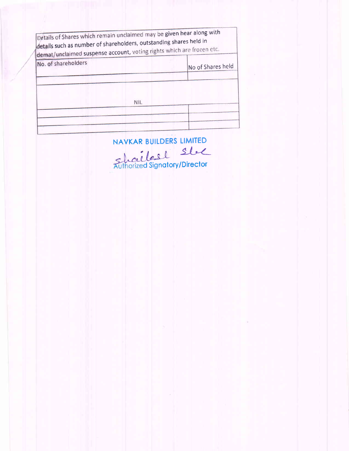| Details of Shares which remain unclaimed may be given hear along with<br>details such as number of shareholders, outstanding shares held in<br>demat/unclaimed suspense account, voting rights which are frozen etc. |                   |
|----------------------------------------------------------------------------------------------------------------------------------------------------------------------------------------------------------------------|-------------------|
| No. of shareholders                                                                                                                                                                                                  | No of Shares held |
|                                                                                                                                                                                                                      | <b>NIL</b>        |
|                                                                                                                                                                                                                      |                   |
|                                                                                                                                                                                                                      |                   |

NAVKAR BUILDERS LIMITED

Schaelest Stel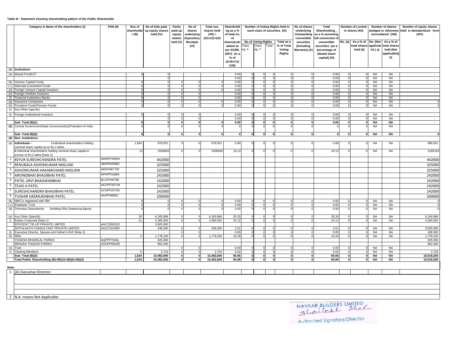## **Table III - Statement showing shareholding pattern of the Public Shareholder**

|                | Category & Name of the shareholders (I)                                                      | <b>PAN(II)</b>           | Nos of<br>shareholde<br>r (III) | No of fully paid-<br>up equity shares<br>held (IV) | Partly<br>paid-up<br>equity<br>shares | No of<br>shares<br>underlying<br>Depository | Total nos.<br>shares held<br>$(VII) =$<br>$(IV)+(V)+(VI)$ | Shareholdi<br>ng as a %<br>of total no.<br>of                                                         | each class of securities (IX)         | Number of Voting Rights held in                       | No of shares<br><b>Underlying</b><br>Outstanding<br>convertible | <b>Total</b><br>Shareholding<br>as a % assuming<br>ull conversion o                |         | Number of Locked<br>in shares (XII)   |                                   | Number of shares<br>pledged or otherwise<br>encumbared (XIII) | Number of equity shares<br>held in dematerilized form<br>(XIV) |
|----------------|----------------------------------------------------------------------------------------------|--------------------------|---------------------------------|----------------------------------------------------|---------------------------------------|---------------------------------------------|-----------------------------------------------------------|-------------------------------------------------------------------------------------------------------|---------------------------------------|-------------------------------------------------------|-----------------------------------------------------------------|------------------------------------------------------------------------------------|---------|---------------------------------------|-----------------------------------|---------------------------------------------------------------|----------------------------------------------------------------|
|                |                                                                                              |                          |                                 |                                                    | held (V)                              | <b>Receipts</b><br>(VI)                     |                                                           | shares(calc<br>Class<br>ulated as<br>eg: X<br>per SCRR,<br>1957) As a<br>% of<br>$(A+B+C2)$<br>(VIII) | No of Voting Rights<br>Class<br>eg: Y | Total as a<br>Total<br>% of Total<br>Voting<br>Rights | securities<br>(Including<br>Warrants) (X)                       | convertible<br>securities (as a<br>percentage of<br>diluted share<br>capital) (XI) | No. (a) | As a % of<br>total shares<br>held (b) | No. (Not<br>applicab<br>$le)$ (a) | As a % of<br>total shares<br>held (Not<br>applicable)(<br>b)  |                                                                |
|                | (1) Institutions                                                                             |                          |                                 |                                                    |                                       |                                             |                                                           |                                                                                                       |                                       |                                                       |                                                                 |                                                                                    |         |                                       |                                   |                                                               |                                                                |
| (a)            | Mutual Fund/UTI                                                                              |                          |                                 |                                                    |                                       |                                             | $\sim$                                                    | 0.00                                                                                                  |                                       |                                                       |                                                                 | 0.00                                                                               |         | $\Omega$                              | <b>NA</b>                         | <b>NA</b>                                                     | $\sim$                                                         |
|                | (b) Venture Capital Funds                                                                    |                          |                                 |                                                    |                                       |                                             | $\overline{\phantom{0}}$                                  | 0.00<br>0.00                                                                                          |                                       |                                                       |                                                                 | 0.00<br>0.00                                                                       |         | $\Omega$                              | <b>NA</b><br><b>NA</b>            | <b>NA</b><br><b>NA</b>                                        | $\overline{a}$<br>$\overline{a}$                               |
|                | (c) Alternate Investment Funds                                                               |                          |                                 |                                                    |                                       |                                             | $\mathbf 0$                                               | 0.00                                                                                                  |                                       |                                                       |                                                                 | 0.00                                                                               |         |                                       | <b>NA</b>                         | <b>NA</b>                                                     | $\sim$                                                         |
|                | (d) Foreign Venture Capital Investors                                                        |                          |                                 |                                                    |                                       |                                             |                                                           | 0.00                                                                                                  |                                       |                                                       |                                                                 | 0.00                                                                               |         |                                       | <b>NA</b>                         | <b>NA</b>                                                     | $\overline{\phantom{a}}$                                       |
|                | (e) Foreign Portfolio Investors                                                              |                          |                                 |                                                    |                                       |                                             | $\sim$                                                    | 0.00                                                                                                  |                                       |                                                       |                                                                 | 0.00                                                                               |         | n                                     | NA                                | <b>NA</b>                                                     | $\sim$                                                         |
|                | (f) Financial Institutions Banks<br>(g) Insurance Companies                                  |                          |                                 |                                                    |                                       |                                             | $\sim$                                                    | 0.00<br>0.00                                                                                          |                                       |                                                       |                                                                 | 0.00<br>0.00                                                                       |         | $\Omega$                              | <b>NA</b><br><b>NA</b>            | <b>NA</b><br><b>NA</b>                                        | $\sim$<br>- 0                                                  |
|                | (h) Provident Funds/Pension Funds                                                            |                          |                                 |                                                    |                                       |                                             |                                                           | 0.00                                                                                                  |                                       |                                                       |                                                                 | 0.00                                                                               |         |                                       | NA                                | NA                                                            |                                                                |
|                | Any Other (specify)                                                                          |                          |                                 |                                                    |                                       |                                             |                                                           |                                                                                                       |                                       |                                                       |                                                                 |                                                                                    |         |                                       |                                   |                                                               |                                                                |
|                | (i) Foreign Institutional Investors                                                          |                          |                                 |                                                    |                                       |                                             | $\sim$                                                    | 0.00                                                                                                  | $\Omega$                              | $\Omega$                                              | - 0                                                             | 0.00                                                                               |         | $\Omega$                              | NA                                | NA                                                            | $\sim$                                                         |
|                | Sub-Total (B)(1)                                                                             |                          |                                 |                                                    |                                       |                                             | $\sim$                                                    | 0.00<br>0.00                                                                                          |                                       |                                                       | $\Omega$                                                        | 0.00<br>0.00                                                                       |         | $\Omega$                              | <b>NA</b><br><b>NA</b>            | <b>NA</b><br><b>NA</b>                                        | $\sim$<br>$\sim$                                               |
| (2)            | Central Government/State Government(s)/President of India                                    |                          |                                 |                                                    |                                       |                                             |                                                           |                                                                                                       |                                       |                                                       |                                                                 |                                                                                    |         |                                       | <b>NA</b>                         | <b>NA</b>                                                     |                                                                |
|                | Sub-Total (B)(2)                                                                             |                          |                                 | 0                                                  |                                       |                                             | 0                                                         | $\mathbf{0}$                                                                                          | $\Omega$                              | $\bf{0}$                                              | $\mathbf{0}$                                                    | $\bf{0}$                                                                           |         | $\mathbf{0}$                          | <b>NA</b>                         | <b>NA</b>                                                     |                                                                |
| (3)            | <b>Non-Institutions</b>                                                                      |                          |                                 |                                                    |                                       |                                             |                                                           |                                                                                                       |                                       |                                                       |                                                                 |                                                                                    |         |                                       |                                   |                                                               |                                                                |
| (a)            | Individuals -<br>i.Individual shareholders holding<br>nominal share capital up to Rs.2 lakhs |                          | 1,584                           | 978,051                                            |                                       |                                             | 978,051                                                   | 5.60                                                                                                  |                                       |                                                       |                                                                 | 5.60                                                                               |         |                                       | NA                                | <b>NA</b>                                                     | 688,051                                                        |
|                | ii.Individual shareholders holding nominal share capital in<br>excess of Rs.2 lakhs [Note 1] | AMNPP4455H               | 2 <sup>1</sup>                  | 3338583                                            |                                       |                                             | 3338583                                                   | 19.13                                                                                                 |                                       |                                                       |                                                                 | 19.13                                                                              |         |                                       | NA                                | <b>NA</b>                                                     | 3165183                                                        |
| $\overline{2}$ | KEYUR SURESHCHANDRA PATEL                                                                    | ABOPM4380J               |                                 | 442000                                             |                                       |                                             |                                                           |                                                                                                       |                                       |                                                       |                                                                 |                                                                                    |         |                                       |                                   |                                                               | 442000                                                         |
|                | RENUBALA ASHOKKUMAR MIGLANI                                                                  |                          |                                 | 325000                                             |                                       |                                             |                                                           |                                                                                                       |                                       |                                                       |                                                                 |                                                                                    |         |                                       |                                   |                                                               | 325000                                                         |
|                | ASHOKKUMAR HAKAMCHAND MIGLANI                                                                | ABSPM6773F               |                                 | 325000                                             |                                       |                                             |                                                           |                                                                                                       |                                       |                                                       |                                                                 |                                                                                    |         |                                       |                                   |                                                               | 325000                                                         |
|                | ARVINDBHAI BHAIJIBHAI PATEL                                                                  | APHPP3188A               |                                 | 242000                                             |                                       |                                             |                                                           |                                                                                                       |                                       |                                                       |                                                                 |                                                                                    |         |                                       |                                   |                                                               | 242000                                                         |
|                | PATEL URVI BHAGWANBHAI                                                                       | BLUPP4979D               |                                 | 242000                                             |                                       |                                             |                                                           |                                                                                                       |                                       |                                                       |                                                                 |                                                                                    |         |                                       |                                   |                                                               | 242000                                                         |
|                | <b>TEJAS A PATEL</b>                                                                         | AKGPP3971M               |                                 | 242000                                             |                                       |                                             |                                                           |                                                                                                       |                                       |                                                       |                                                                 |                                                                                    |         |                                       |                                   |                                                               | 242000                                                         |
|                | SURESHCHANDRA BHAIJIBHAI PATEL                                                               | ACNPP2573N               |                                 | 242000                                             |                                       |                                             |                                                           |                                                                                                       |                                       |                                                       |                                                                 |                                                                                    |         |                                       |                                   |                                                               | 242000                                                         |
| 8              | TUSHAR HASMUKHBHAI PATEL                                                                     | AIUPP6956C               |                                 | 200000                                             |                                       |                                             |                                                           |                                                                                                       |                                       |                                                       |                                                                 |                                                                                    |         |                                       |                                   |                                                               | 200000                                                         |
| (b)            | NBFCs registered with RBI                                                                    |                          |                                 |                                                    |                                       |                                             | 0                                                         | 0.00                                                                                                  |                                       |                                                       | $\Omega$                                                        | 0.00                                                                               |         |                                       | <b>NA</b>                         | <b>NA</b>                                                     |                                                                |
|                | (c) Employee Trust<br>(holding DRs) (balancing figure)<br>(d) Overseas Depositories          |                          |                                 |                                                    |                                       |                                             |                                                           | 0.00<br>0.00                                                                                          |                                       |                                                       |                                                                 | 0.00<br>0.00                                                                       |         | $\Omega$                              | <b>NA</b><br><b>NA</b>            | <b>NA</b><br><b>NA</b>                                        | $\Omega$                                                       |
|                |                                                                                              |                          |                                 |                                                    |                                       |                                             |                                                           |                                                                                                       |                                       |                                                       |                                                                 |                                                                                    |         |                                       |                                   |                                                               |                                                                |
|                | (e) Any Other (Specify)                                                                      |                          | 29                              | 6,165,966                                          |                                       |                                             | 6,165,966                                                 | 35.33                                                                                                 |                                       |                                                       |                                                                 | 35.33                                                                              |         |                                       | <b>NA</b>                         | <b>NA</b>                                                     | 6,164,966                                                      |
|                | Bodies Corporate [Note 1]<br>EFFICENT TIE-UP PRIVATE LIMITED                                 | AACCE8022D               | 21                              | 4.385.092<br>3,925,000                             |                                       |                                             | 4.385.092                                                 | 25.12                                                                                                 |                                       |                                                       |                                                                 | 25.12                                                                              |         |                                       | <b>NA</b>                         | <b>NA</b>                                                     | 4.384.092                                                      |
|                | SHITALNATH CONSULTANT PRIVATE LIMITED                                                        | AAUCS2248D               |                                 | 438,300                                            |                                       |                                             | 438,300                                                   | 2.51                                                                                                  |                                       |                                                       | $\Omega$                                                        | 2.51                                                                               |         |                                       | NA                                | <b>NA</b>                                                     | 3,925,000                                                      |
| ii)            | Executive Director, Spouse and Father's HUF [Note 1]                                         |                          |                                 |                                                    |                                       |                                             |                                                           | 0.00                                                                                                  |                                       |                                                       |                                                                 | 0.00                                                                               |         |                                       | <b>NA</b>                         | <b>NA</b>                                                     | 438,300                                                        |
| iii)           | <b>NRIS</b>                                                                                  |                          | $\mathbf{3}$                    | 1,778,150                                          |                                       |                                             | 1,778,150                                                 | 10.19                                                                                                 |                                       |                                                       |                                                                 | 10.19                                                                              |         |                                       | <b>NA</b>                         | <b>NA</b>                                                     | 1,778,150                                                      |
|                | YOGESH BIHARILAL PARIKH<br>RENUKA YOGESH PARIKH                                              | AQPPP7044L<br>AOOPP6642R |                                 | 925,000<br>852,400                                 |                                       |                                             |                                                           |                                                                                                       |                                       |                                                       |                                                                 |                                                                                    |         |                                       |                                   |                                                               | 925,000<br>852,400                                             |
| iv)            | Trust                                                                                        |                          |                                 |                                                    |                                       |                                             | $\sim$                                                    | 0.00                                                                                                  |                                       |                                                       |                                                                 | 0.00                                                                               |         |                                       | NA                                | NA                                                            | $\sim$                                                         |
|                | v) Clearing Members                                                                          |                          | 5                               | 2,724                                              |                                       |                                             | 2,724                                                     | 0.02                                                                                                  |                                       |                                                       |                                                                 | 0.02                                                                               |         |                                       | <b>NA</b>                         | <b>NA</b>                                                     | 2,724                                                          |
|                | Sub-Total (B)(3)                                                                             |                          | 1,634                           | 10,482,600                                         |                                       |                                             | 10,482,600                                                | 60.06                                                                                                 | $\Omega$                              | $\Omega$                                              | $\mathbf{0}$                                                    | 60.06                                                                              |         | $\mathbf 0$                           | <b>NA</b>                         | <b>NA</b>                                                     | 10,018,200                                                     |
|                | Total Public Shareholding (B)=(B)(1)+(B)(2)+(B)(3)                                           |                          | 1,634                           | 10,482,600                                         |                                       |                                             | 10,482,600                                                | 60.06                                                                                                 |                                       |                                                       | $\mathbf{0}$                                                    | 60.06                                                                              |         | $\mathbf{0}$                          | NA                                | <b>NA</b>                                                     | 10,018,200                                                     |
| Note:          |                                                                                              |                          |                                 |                                                    |                                       |                                             |                                                           |                                                                                                       |                                       |                                                       |                                                                 |                                                                                    |         |                                       |                                   |                                                               |                                                                |
| $\mathbf{1}$   | (A) Executive Director:                                                                      |                          |                                 |                                                    |                                       |                                             |                                                           |                                                                                                       |                                       |                                                       |                                                                 |                                                                                    |         |                                       |                                   |                                                               |                                                                |
|                |                                                                                              |                          |                                 |                                                    |                                       |                                             |                                                           |                                                                                                       |                                       |                                                       |                                                                 |                                                                                    |         |                                       |                                   |                                                               |                                                                |
|                |                                                                                              |                          |                                 |                                                    |                                       |                                             |                                                           |                                                                                                       |                                       |                                                       |                                                                 |                                                                                    |         |                                       |                                   |                                                               |                                                                |
|                |                                                                                              |                          |                                 |                                                    |                                       |                                             |                                                           |                                                                                                       |                                       |                                                       |                                                                 |                                                                                    |         |                                       |                                   |                                                               |                                                                |
|                |                                                                                              |                          |                                 |                                                    |                                       |                                             |                                                           |                                                                                                       |                                       |                                                       |                                                                 |                                                                                    |         |                                       |                                   |                                                               |                                                                |
|                | 2 N.A. means Not Applicable                                                                  |                          |                                 |                                                    |                                       |                                             |                                                           |                                                                                                       |                                       |                                                       |                                                                 |                                                                                    |         |                                       |                                   |                                                               |                                                                |

NAVKAR BUILDERS LIMITED Authorized Signatory/Director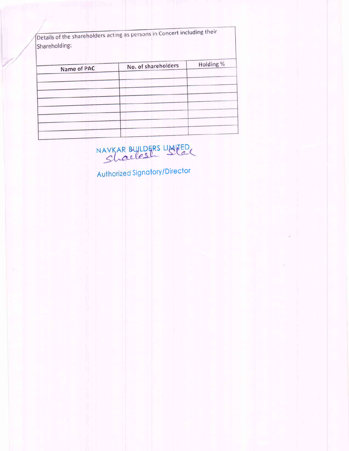Details of the shareholders acting as persons in Concert including their Shareholding:

| Name of PAC | No. of shareholders | Holding % |
|-------------|---------------------|-----------|
|             |                     |           |
|             |                     |           |
|             |                     |           |
|             |                     |           |
|             |                     |           |
|             |                     |           |
|             |                     |           |
|             |                     |           |
|             |                     |           |
|             |                     |           |

NAVKAR BUILDERS LIMITED

Authorized Signatory/Director